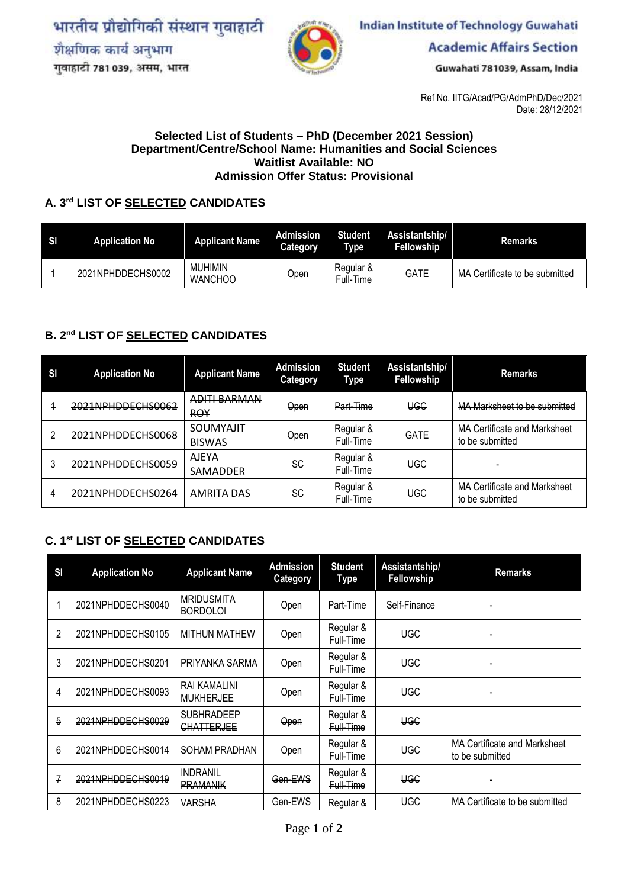भारतीय प्रौद्योगिकी संस्थान गुवाहाटी शैक्षणिक कार्य अनुभाग गुवाहाटी 781 039, असम, भारत



**Indian Institute of Technology Guwahati** 

**Academic Affairs Section** 

Guwahati 781039, Assam, India

Ref No. IITG/Acad/PG/AdmPhD/Dec/2021 Date: 28/12/2021

## **Selected List of Students – PhD (December 2021 Session) Department/Centre/School Name: Humanities and Social Sciences Waitlist Available: NO Admission Offer Status: Provisional**

## **A. 3 rd LIST OF SELECTED CANDIDATES**

| SI | <b>Application No</b> | <b>Applicant Name</b>            | Admission<br>Category | <b>Student</b><br><b>Type</b> | Assistantship/<br>Fellowship | Remarks                        |
|----|-----------------------|----------------------------------|-----------------------|-------------------------------|------------------------------|--------------------------------|
|    | 2021NPHDDECHS0002     | <b>MUHIMIN</b><br><b>WANCHOO</b> | Open                  | Regular &<br>Full-Time        | <b>GATE</b>                  | MA Certificate to be submitted |

## **B. 2 nd LIST OF SELECTED CANDIDATES**

| SI             | <b>Application No</b> | <b>Applicant Name</b>      | Admission<br>Category | <b>Student</b><br>Type | Assistantship/<br>Fellowship | <b>Remarks</b>                                         |
|----------------|-----------------------|----------------------------|-----------------------|------------------------|------------------------------|--------------------------------------------------------|
| $\overline{1}$ | 2021NPHDDECHS0062     | ADITI BARMAN<br><b>ROY</b> | Open                  | Part-Time              | <b>UGC</b>                   | MA Marksheet to be submitted                           |
| 2              | 2021NPHDDECHS0068     | SOUMYAJIT<br><b>BISWAS</b> | Open                  | Regular &<br>Full-Time | <b>GATE</b>                  | MA Certificate and Marksheet<br>to be submitted        |
| 3              | 2021NPHDDECHS0059     | <b>AJEYA</b><br>SAMADDER   | SC                    | Regular &<br>Full-Time | <b>UGC</b>                   |                                                        |
| 4              | 2021NPHDDECHS0264     | <b>AMRITA DAS</b>          | SC                    | Regular &<br>Full-Time | <b>UGC</b>                   | <b>MA Certificate and Marksheet</b><br>to be submitted |

## **C. 1 st LIST OF SELECTED CANDIDATES**

| SI             | <b>Application No</b> | <b>Applicant Name</b>                  | <b>Admission</b><br><b>Category</b> | <b>Student</b><br>Type | Assistantship/<br>Fellowship | <b>Remarks</b>                                         |
|----------------|-----------------------|----------------------------------------|-------------------------------------|------------------------|------------------------------|--------------------------------------------------------|
|                | 2021NPHDDECHS0040     | <b>MRIDUSMITA</b><br><b>BORDOLOI</b>   | Open                                | Part-Time              | Self-Finance                 |                                                        |
| $\mathfrak{p}$ | 2021NPHDDECHS0105     | <b>MITHUN MATHEW</b>                   | Open                                | Regular &<br>Full-Time | <b>UGC</b>                   | -                                                      |
| 3              | 2021NPHDDECHS0201     | PRIYANKA SARMA                         | Open                                | Regular &<br>Full-Time | <b>UGC</b>                   |                                                        |
| 4              | 2021NPHDDECHS0093     | RAI KAMALINI<br><b>MUKHERJEE</b>       | Open                                | Regular &<br>Full-Time | <b>UGC</b>                   |                                                        |
| 5              | 2021NPHDDECHS0029     | <b>SUBHRADEEP</b><br><b>CHATTERJEE</b> | Open                                | Regular &<br>Full-Time | <b>UGC</b>                   |                                                        |
| 6              | 2021NPHDDECHS0014     | SOHAM PRADHAN                          | Open                                | Regular &<br>Full-Time | <b>UGC</b>                   | <b>MA Certificate and Marksheet</b><br>to be submitted |
| $\overline{f}$ | 2021NPHDDECHS0019     | <b>INDRANIL</b><br><b>PRAMANIK</b>     | Gen-EWS                             | Regular &<br>Full-Time | <b>UGC</b>                   |                                                        |
| 8              | 2021NPHDDECHS0223     | VARSHA                                 | Gen-EWS                             | Regular &              | <b>UGC</b>                   | MA Certificate to be submitted                         |